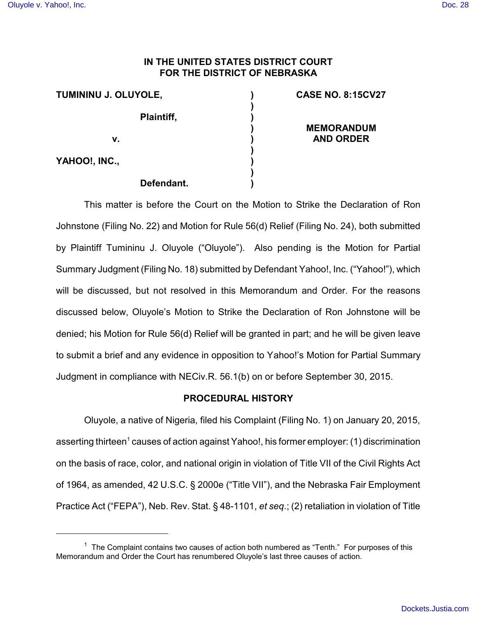# **IN THE UNITED STATES DISTRICT COURT FOR THE DISTRICT OF NEBRASKA**

**) ) ) ) ) ) ) ) )**

| TUMININU J. OLUYOLE, |            |
|----------------------|------------|
|                      | Plaintiff, |
| v.                   |            |
| YAHOO!, INC.,        |            |

### **Defendant.**

## **CASE NO. 8:15CV27**

# **MEMORANDUM AND ORDER**

This matter is before the Court on the Motion to Strike the Declaration of Ron Johnstone (Filing No. 22) and Motion for Rule 56(d) Relief (Filing No. 24), both submitted by Plaintiff Tumininu J. Oluyole ("Oluyole"). Also pending is the Motion for Partial Summary Judgment (Filing No. 18) submitted by Defendant Yahoo!, Inc. ("Yahoo!"), which will be discussed, but not resolved in this Memorandum and Order. For the reasons discussed below, Oluyole's Motion to Strike the Declaration of Ron Johnstone will be denied; his Motion for Rule 56(d) Relief will be granted in part; and he will be given leave to submit a brief and any evidence in opposition to Yahoo!'s Motion for Partial Summary Judgment in compliance with NECiv.R. 56.1(b) on or before September 30, 2015.

# **PROCEDURAL HISTORY**

Oluyole, a native of Nigeria, filed his Complaint (Filing No. 1) on January 20, 2015, asserting thirteen<sup>1</sup> causes of action against Yahoo!, his former employer: (1) discrimination on the basis of race, color, and national origin in violation of Title VII of the Civil Rights Act of 1964, as amended, 42 U.S.C. § 2000e ("Title VII"), and the Nebraska Fair Employment Practice Act ("FEPA"), Neb. Rev. Stat. § 48-1101, *et seq*.; (2) retaliation in violation of Title

 $1$  The Complaint contains two causes of action both numbered as "Tenth." For purposes of this Memorandum and Order the Court has renumbered Oluyole's last three causes of action.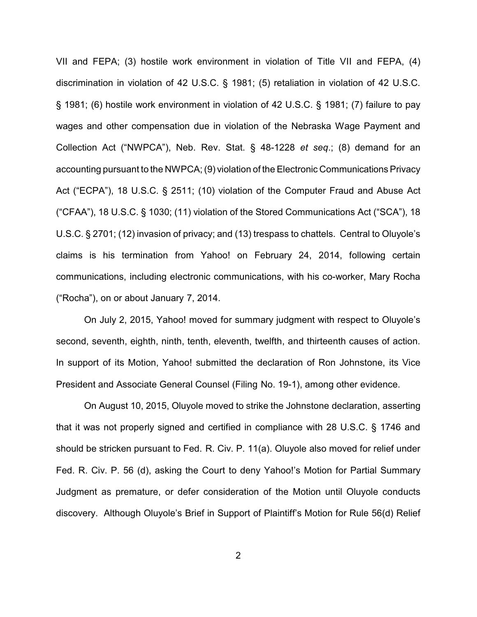VII and FEPA; (3) hostile work environment in violation of Title VII and FEPA, (4) discrimination in violation of 42 U.S.C. § 1981; (5) retaliation in violation of 42 U.S.C. § 1981; (6) hostile work environment in violation of 42 U.S.C. § 1981; (7) failure to pay wages and other compensation due in violation of the Nebraska Wage Payment and Collection Act ("NWPCA"), Neb. Rev. Stat. § 48-1228 *et seq*.; (8) demand for an accounting pursuant to the NWPCA; (9) violation of the Electronic Communications Privacy Act ("ECPA"), 18 U.S.C. § 2511; (10) violation of the Computer Fraud and Abuse Act ("CFAA"), 18 U.S.C. § 1030; (11) violation of the Stored Communications Act ("SCA"), 18 U.S.C. § 2701; (12) invasion of privacy; and (13) trespass to chattels. Central to Oluyole's claims is his termination from Yahoo! on February 24, 2014, following certain communications, including electronic communications, with his co-worker, Mary Rocha ("Rocha"), on or about January 7, 2014.

On July 2, 2015, Yahoo! moved for summary judgment with respect to Oluyole's second, seventh, eighth, ninth, tenth, eleventh, twelfth, and thirteenth causes of action. In support of its Motion, Yahoo! submitted the declaration of Ron Johnstone, its Vice President and Associate General Counsel (Filing No. 19-1), among other evidence.

On August 10, 2015, Oluyole moved to strike the Johnstone declaration, asserting that it was not properly signed and certified in compliance with 28 U.S.C. § 1746 and should be stricken pursuant to Fed. R. Civ. P. 11(a). Oluyole also moved for relief under Fed. R. Civ. P. 56 (d), asking the Court to deny Yahoo!'s Motion for Partial Summary Judgment as premature, or defer consideration of the Motion until Oluyole conducts discovery. Although Oluyole's Brief in Support of Plaintiff's Motion for Rule 56(d) Relief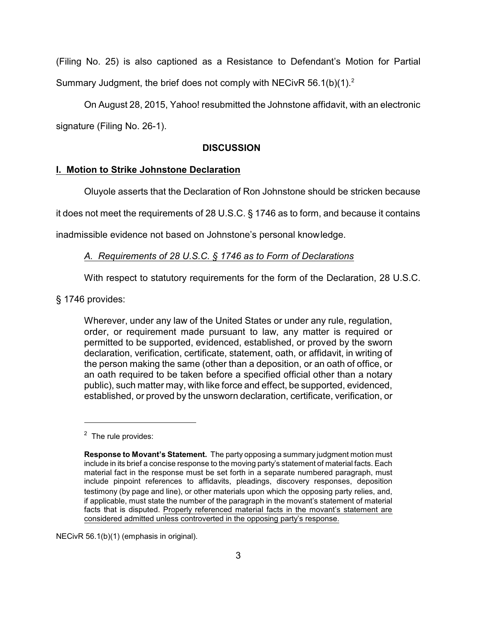(Filing No. 25) is also captioned as a Resistance to Defendant's Motion for Partial Summary Judgment, the brief does not comply with NECivR 56.1(b)(1).<sup>2</sup>

On August 28, 2015, Yahoo! resubmitted the Johnstone affidavit, with an electronic signature (Filing No. 26-1).

### **DISCUSSION**

### **I. Motion to Strike Johnstone Declaration**

Oluyole asserts that the Declaration of Ron Johnstone should be stricken because

it does not meet the requirements of 28 U.S.C. § 1746 as to form, and because it contains

inadmissible evidence not based on Johnstone's personal knowledge.

### *A. Requirements of 28 U.S.C. § 1746 as to Form of Declarations*

With respect to statutory requirements for the form of the Declaration, 28 U.S.C.

§ 1746 provides:

Wherever, under any law of the United States or under any rule, regulation, order, or requirement made pursuant to law, any matter is required or permitted to be supported, evidenced, established, or proved by the sworn declaration, verification, certificate, statement, oath, or affidavit, in writing of the person making the same (other than a deposition, or an oath of office, or an oath required to be taken before a specified official other than a notary public), such matter may, with like force and effect, be supported, evidenced, established, or proved by the unsworn declaration, certificate, verification, or

NECivR 56.1(b)(1) (emphasis in original).

<sup>&</sup>lt;sup>2</sup> The rule provides:

**Response to Movant's Statement.** The party opposing a summary judgment motion must include in its brief a concise response to the moving party's statement of material facts. Each material fact in the response must be set forth in a separate numbered paragraph, must include pinpoint references to affidavits, pleadings, discovery responses, deposition testimony (by page and line), or other materials upon which the opposing party relies, and, if applicable, must state the number of the paragraph in the movant's statement of material facts that is disputed. Properly referenced material facts in the movant's statement are considered admitted unless controverted in the opposing party's response.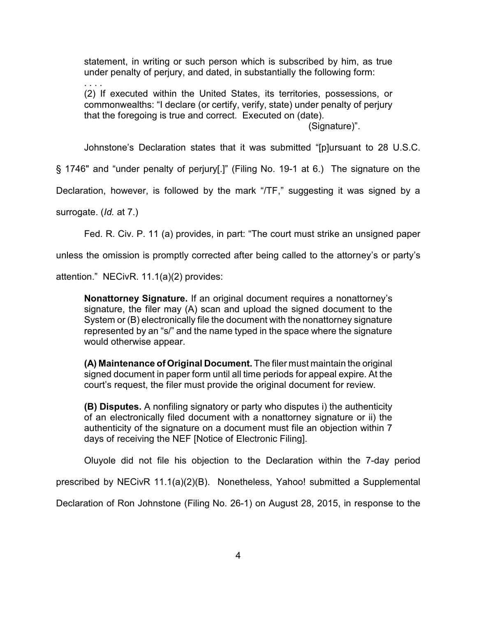statement, in writing or such person which is subscribed by him, as true under penalty of perjury, and dated, in substantially the following form:

. . . . (2) If executed within the United States, its territories, possessions, or commonwealths: "I declare (or certify, verify, state) under penalty of perjury that the foregoing is true and correct. Executed on (date).

(Signature)".

Johnstone's Declaration states that it was submitted "[p]ursuant to 28 U.S.C.

§ 1746" and "under penalty of perjury[.]" (Filing No. 19-1 at 6.) The signature on the

Declaration, however, is followed by the mark "/TF," suggesting it was signed by a

surrogate. (*Id.* at 7.)

Fed. R. Civ. P. 11 (a) provides, in part: "The court must strike an unsigned paper

unless the omission is promptly corrected after being called to the attorney's or party's

attention." NECivR. 11.1(a)(2) provides:

**Nonattorney Signature.** If an original document requires a nonattorney's signature, the filer may (A) scan and upload the signed document to the System or (B) electronically file the document with the nonattorney signature represented by an "s/" and the name typed in the space where the signature would otherwise appear.

**(A) Maintenance of Original Document.** The filer must maintain the original signed document in paper form until all time periods for appeal expire. At the court's request, the filer must provide the original document for review.

**(B) Disputes.** A nonfiling signatory or party who disputes i) the authenticity of an electronically filed document with a nonattorney signature or ii) the authenticity of the signature on a document must file an objection within 7 days of receiving the NEF [Notice of Electronic Filing].

Oluyole did not file his objection to the Declaration within the 7-day period

prescribed by NECivR 11.1(a)(2)(B). Nonetheless, Yahoo! submitted a Supplemental

Declaration of Ron Johnstone (Filing No. 26-1) on August 28, 2015, in response to the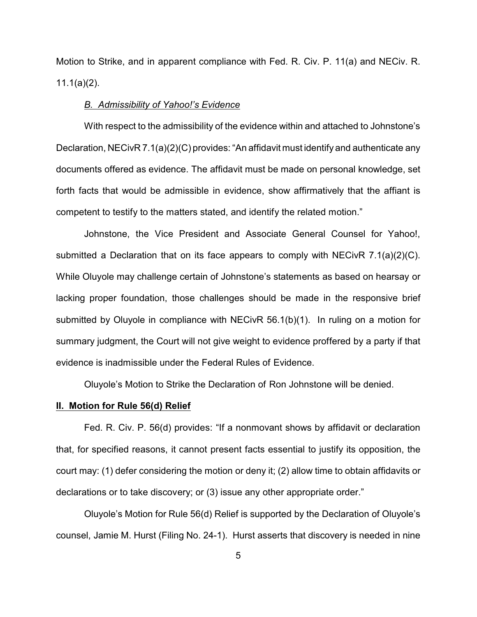Motion to Strike, and in apparent compliance with Fed. R. Civ. P. 11(a) and NECiv. R. 11.1(a)(2).

### *B. Admissibility of Yahoo!'s Evidence*

With respect to the admissibility of the evidence within and attached to Johnstone's Declaration, NECivR 7.1(a)(2)(C) provides: "An affidavit must identify and authenticate any documents offered as evidence. The affidavit must be made on personal knowledge, set forth facts that would be admissible in evidence, show affirmatively that the affiant is competent to testify to the matters stated, and identify the related motion."

Johnstone, the Vice President and Associate General Counsel for Yahoo!, submitted a Declaration that on its face appears to comply with NECivR 7.1(a)(2)(C). While Oluyole may challenge certain of Johnstone's statements as based on hearsay or lacking proper foundation, those challenges should be made in the responsive brief submitted by Oluyole in compliance with NECivR 56.1(b)(1). In ruling on a motion for summary judgment, the Court will not give weight to evidence proffered by a party if that evidence is inadmissible under the Federal Rules of Evidence.

Oluyole's Motion to Strike the Declaration of Ron Johnstone will be denied.

#### **II. Motion for Rule 56(d) Relief**

Fed. R. Civ. P. 56(d) provides: "If a nonmovant shows by affidavit or declaration that, for specified reasons, it cannot present facts essential to justify its opposition, the court may: (1) defer considering the motion or deny it; (2) allow time to obtain affidavits or declarations or to take discovery; or (3) issue any other appropriate order."

Oluyole's Motion for Rule 56(d) Relief is supported by the Declaration of Oluyole's counsel, Jamie M. Hurst (Filing No. 24-1). Hurst asserts that discovery is needed in nine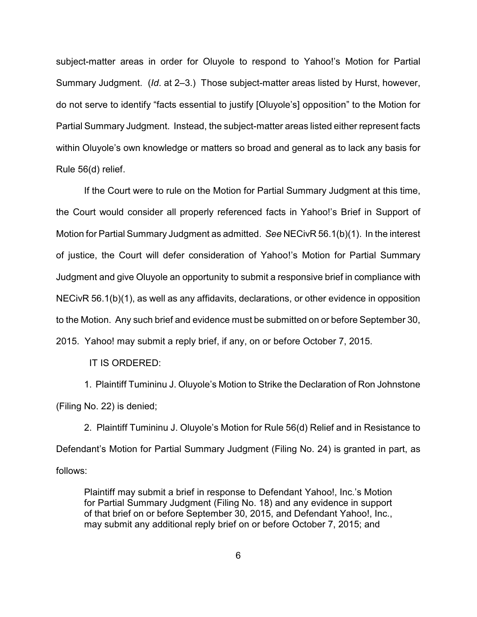subject-matter areas in order for Oluyole to respond to Yahoo!'s Motion for Partial Summary Judgment. (*Id*. at 2–3.) Those subject-matter areas listed by Hurst, however, do not serve to identify "facts essential to justify [Oluyole's] opposition" to the Motion for Partial Summary Judgment. Instead, the subject-matter areas listed either represent facts within Oluyole's own knowledge or matters so broad and general as to lack any basis for Rule 56(d) relief.

If the Court were to rule on the Motion for Partial Summary Judgment at this time, the Court would consider all properly referenced facts in Yahoo!'s Brief in Support of Motion for Partial Summary Judgment as admitted. *See* NECivR 56.1(b)(1). In the interest of justice, the Court will defer consideration of Yahoo!'s Motion for Partial Summary Judgment and give Oluyole an opportunity to submit a responsive brief in compliance with NECivR 56.1(b)(1), as well as any affidavits, declarations, or other evidence in opposition to the Motion. Any such brief and evidence must be submitted on or before September 30, 2015. Yahoo! may submit a reply brief, if any, on or before October 7, 2015.

IT IS ORDERED:

1. Plaintiff Tumininu J. Oluyole's Motion to Strike the Declaration of Ron Johnstone (Filing No. 22) is denied;

2. Plaintiff Tumininu J. Oluyole's Motion for Rule 56(d) Relief and in Resistance to Defendant's Motion for Partial Summary Judgment (Filing No. 24) is granted in part, as follows:

Plaintiff may submit a brief in response to Defendant Yahoo!, Inc.'s Motion for Partial Summary Judgment (Filing No. 18) and any evidence in support of that brief on or before September 30, 2015, and Defendant Yahoo!, Inc., may submit any additional reply brief on or before October 7, 2015; and